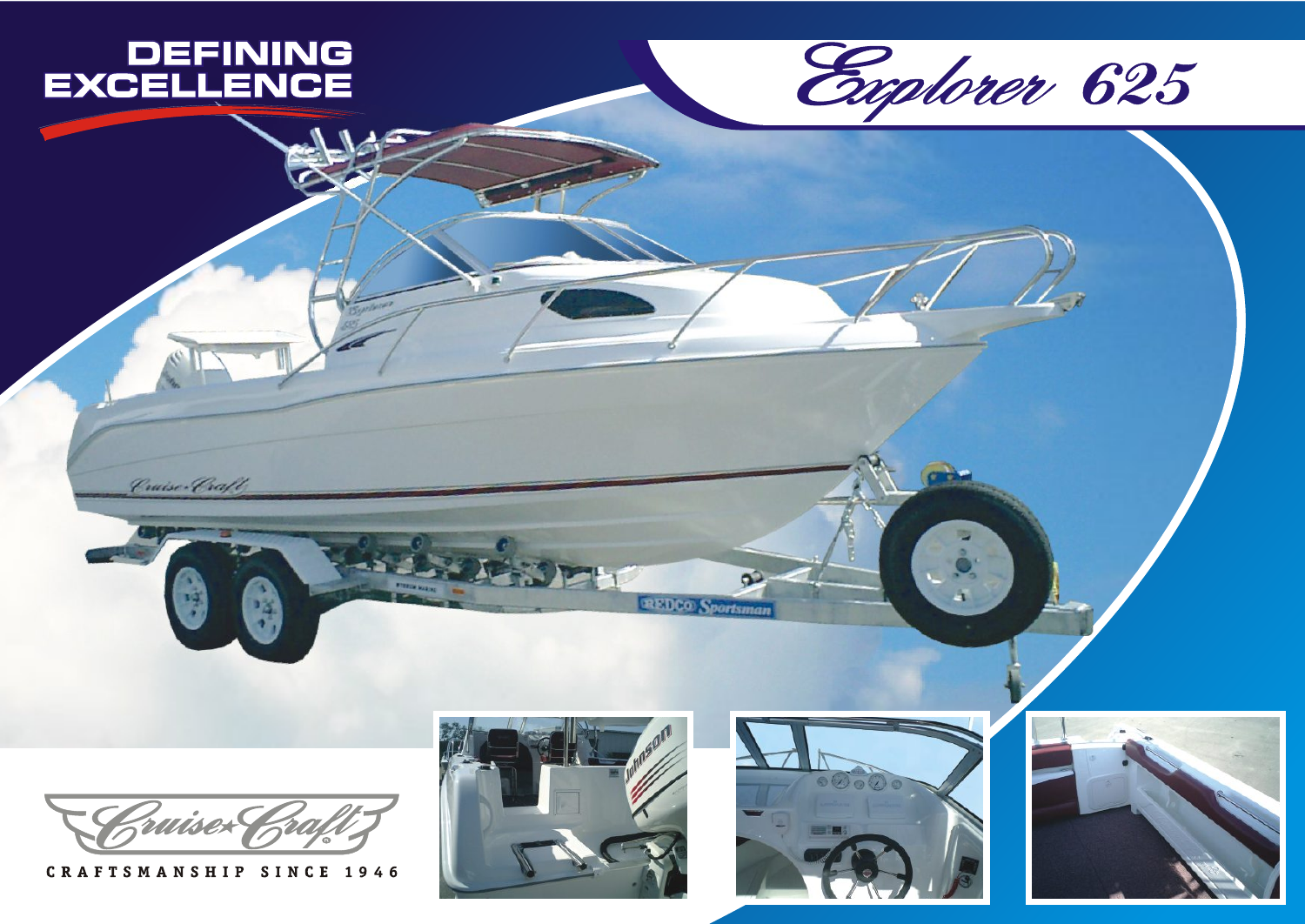

Cruise-Craft





CRAFTSMANSHIP SINCE 1946





 $\bullet$ 

**REDCO** Sportsman